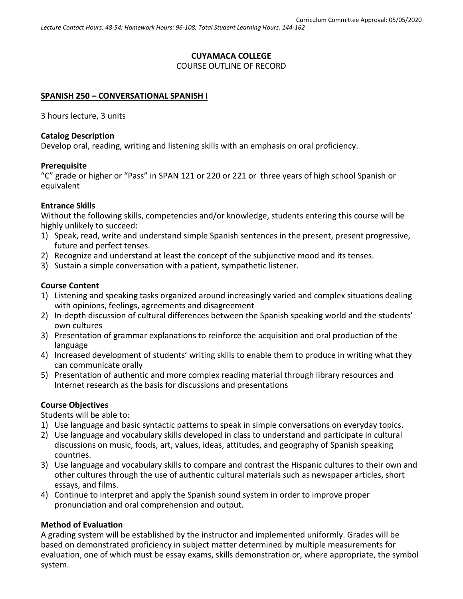# **CUYAMACA COLLEGE** COURSE OUTLINE OF RECORD

#### **SPANISH 250 – CONVERSATIONAL SPANISH I**

3 hours lecture, 3 units

#### **Catalog Description**

Develop oral, reading, writing and listening skills with an emphasis on oral proficiency.

### **Prerequisite**

"C" grade or higher or "Pass" in SPAN 121 or 220 or 221 or three years of high school Spanish or equivalent

### **Entrance Skills**

Without the following skills, competencies and/or knowledge, students entering this course will be highly unlikely to succeed:

- 1) Speak, read, write and understand simple Spanish sentences in the present, present progressive, future and perfect tenses.
- 2) Recognize and understand at least the concept of the subjunctive mood and its tenses.
- 3) Sustain a simple conversation with a patient, sympathetic listener.

### **Course Content**

- 1) Listening and speaking tasks organized around increasingly varied and complex situations dealing with opinions, feelings, agreements and disagreement
- 2) In-depth discussion of cultural differences between the Spanish speaking world and the students' own cultures
- 3) Presentation of grammar explanations to reinforce the acquisition and oral production of the language
- 4) Increased development of students' writing skills to enable them to produce in writing what they can communicate orally
- 5) Presentation of authentic and more complex reading material through library resources and Internet research as the basis for discussions and presentations

### **Course Objectives**

Students will be able to:

- 1) Use language and basic syntactic patterns to speak in simple conversations on everyday topics.
- 2) Use language and vocabulary skills developed in class to understand and participate in cultural discussions on music, foods, art, values, ideas, attitudes, and geography of Spanish speaking countries.
- 3) Use language and vocabulary skills to compare and contrast the Hispanic cultures to their own and other cultures through the use of authentic cultural materials such as newspaper articles, short essays, and films.
- 4) Continue to interpret and apply the Spanish sound system in order to improve proper pronunciation and oral comprehension and output.

### **Method of Evaluation**

A grading system will be established by the instructor and implemented uniformly. Grades will be based on demonstrated proficiency in subject matter determined by multiple measurements for evaluation, one of which must be essay exams, skills demonstration or, where appropriate, the symbol system.